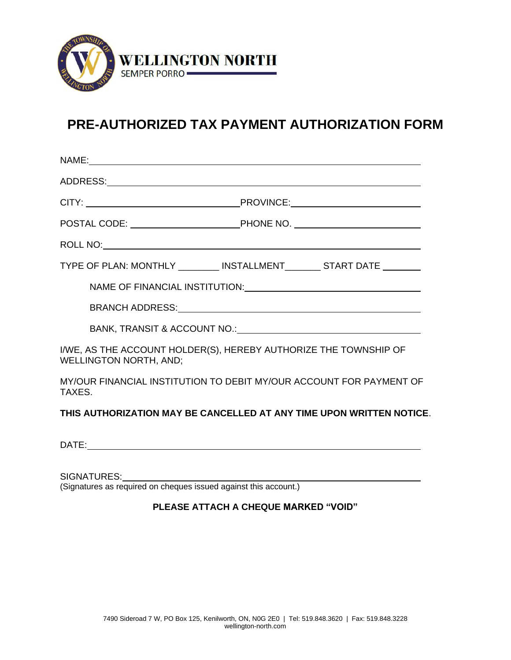

## **PRE-AUTHORIZED TAX PAYMENT AUTHORIZATION FORM**

| TYPE OF PLAN: MONTHLY _________ INSTALLMENT________ START DATE _______                            |                                                                                                                                                                                                                                |
|---------------------------------------------------------------------------------------------------|--------------------------------------------------------------------------------------------------------------------------------------------------------------------------------------------------------------------------------|
|                                                                                                   | NAME OF FINANCIAL INSTITUTION: CONTRACT AND THE RESERVE TO A REPORT OF FINANCIAL INSTITUTION:                                                                                                                                  |
|                                                                                                   |                                                                                                                                                                                                                                |
|                                                                                                   | BANK, TRANSIT & ACCOUNT NO.: NAMEL AND A RESERVE TO A RESERVE THE RESERVE TO A RESERVE THE RESERVE THANKS AND THE RESERVE THANKS AND THE RESERVE THANKS AND A RESERVE THANKS AND A RESERVE THANKS AND A RESERVE THANKS AND A R |
| I/WE, AS THE ACCOUNT HOLDER(S), HEREBY AUTHORIZE THE TOWNSHIP OF<br><b>WELLINGTON NORTH, AND;</b> |                                                                                                                                                                                                                                |
| MY/OUR FINANCIAL INSTITUTION TO DEBIT MY/OUR ACCOUNT FOR PAYMENT OF<br>TAXES.                     |                                                                                                                                                                                                                                |
| THIS AUTHORIZATION MAY BE CANCELLED AT ANY TIME UPON WRITTEN NOTICE.                              |                                                                                                                                                                                                                                |

DATE:

SIGNATURES:

(Signatures as required on cheques issued against this account.)

## **PLEASE ATTACH A CHEQUE MARKED "VOID"**